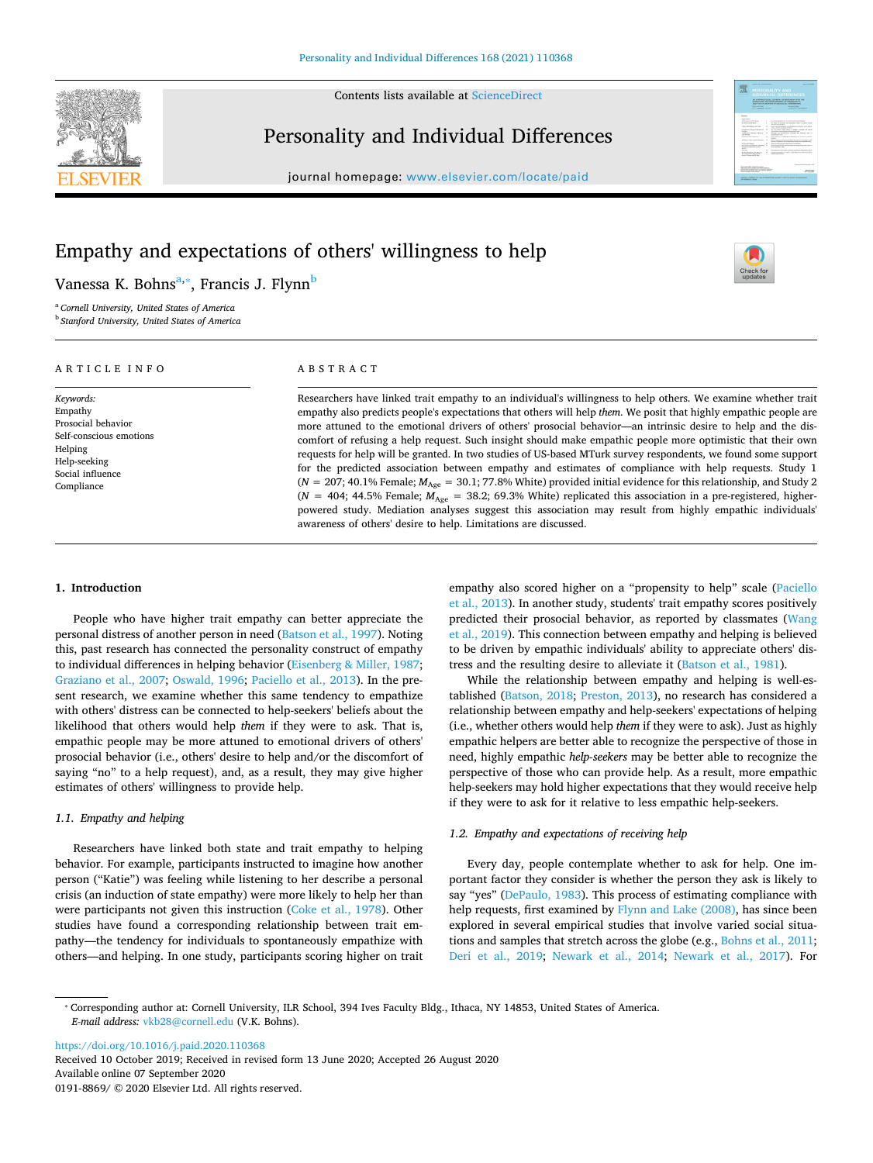Contents lists available at [ScienceDirect](http://www.sciencedirect.com/science/journal/01918869) 



# Personality and Individual Differences

journal homepage: [www.elsevier.com/locate/paid](https://www.elsevier.com/locate/paid) 



 $\frac{N}{2}$ 

# Empathy and expectations of others' willingness to help

V[a](#page-0-0)nessa K. Bohns<sup>a,</sup>\*, Francis J. Flynn<sup>[b](#page-0-2)</sup>

<span id="page-0-2"></span><span id="page-0-0"></span><sup>a</sup>*Cornell University, United States of America*  <sup>b</sup>*Stanford University, United States of America* 

# A R T I C L E I N F O

*Keywords:*  Empathy Prosocial behavior Self-conscious emotions Helping Help-seeking Social influence Compliance

# ABSTRACT

Researchers have linked trait empathy to an individual's willingness to help others. We examine whether trait empathy also predicts people's expectations that others will help *them*. We posit that highly empathic people are more attuned to the emotional drivers of others' prosocial behavior—an intrinsic desire to help and the discomfort of refusing a help request. Such insight should make empathic people more optimistic that their own requests for help will be granted. In two studies of US-based MTurk survey respondents, we found some support for the predicted association between empathy and estimates of compliance with help requests. Study 1  $(N = 207; 40.1\%$  Female;  $M_{\text{Age}} = 30.1; 77.8\%$  White) provided initial evidence for this relationship, and Study 2 (*N* = 404; 44.5% Female; *M*Age = 38.2; 69.3% White) replicated this association in a pre-registered, higherpowered study. Mediation analyses suggest this association may result from highly empathic individuals' awareness of others' desire to help. Limitations are discussed.

# **1. Introduction**

People who have higher trait empathy can better appreciate the personal distress of another person in need [\(Batson et al., 1997](#page-8-0)). Noting this, past research has connected the personality construct of empathy to individual differences in helping behavior ([Eisenberg & Miller, 1987](#page-8-1); [Graziano et al., 2007;](#page-8-2) [Oswald, 1996;](#page-8-3) [Paciello et al., 2013](#page-8-4)). In the present research, we examine whether this same tendency to empathize with others' distress can be connected to help-seekers' beliefs about the likelihood that others would help *them* if they were to ask. That is, empathic people may be more attuned to emotional drivers of others' prosocial behavior (i.e., others' desire to help and/or the discomfort of saying "no" to a help request), and, as a result, they may give higher estimates of others' willingness to provide help.

# *1.1. Empathy and helping*

Researchers have linked both state and trait empathy to helping behavior. For example, participants instructed to imagine how another person ("Katie") was feeling while listening to her describe a personal crisis (an induction of state empathy) were more likely to help her than were participants not given this instruction ([Coke et al., 1978](#page-8-5)). Other studies have found a corresponding relationship between trait empathy—the tendency for individuals to spontaneously empathize with others—and helping. In one study, participants scoring higher on trait

empathy also scored higher on a "propensity to help" scale ([Paciello](#page-8-4)  [et al., 2013\)](#page-8-4). In another study, students' trait empathy scores positively predicted their prosocial behavior, as reported by classmates ([Wang](#page-8-6)  [et al., 2019](#page-8-6)). This connection between empathy and helping is believed to be driven by empathic individuals' ability to appreciate others' distress and the resulting desire to alleviate it [\(Batson et al., 1981](#page-8-7)).

While the relationship between empathy and helping is well-established ([Batson, 2018](#page-8-8); [Preston, 2013\)](#page-8-9), no research has considered a relationship between empathy and help-seekers' expectations of helping (i.e., whether others would help *them* if they were to ask). Just as highly empathic helpers are better able to recognize the perspective of those in need, highly empathic *help-seekers* may be better able to recognize the perspective of those who can provide help. As a result, more empathic help-seekers may hold higher expectations that they would receive help if they were to ask for it relative to less empathic help-seekers.

# *1.2. Empathy and expectations of receiving help*

Every day, people contemplate whether to ask for help. One important factor they consider is whether the person they ask is likely to say "yes" ([DePaulo, 1983\)](#page-8-10). This process of estimating compliance with help requests, first examined by [Flynn and Lake \(2008\)](#page-8-11), has since been explored in several empirical studies that involve varied social situations and samples that stretch across the globe (e.g., [Bohns et al., 2011](#page-8-12); [Deri et al., 2019](#page-8-13); [Newark et al., 2014](#page-8-14); [Newark et al., 2017](#page-8-15)). For

<https://doi.org/10.1016/j.paid.2020.110368> Received 10 October 2019; Received in revised form 13 June 2020; Accepted 26 August 2020 Available online 07 September 2020 0191-8869/ © 2020 Elsevier Ltd. All rights reserved.

<span id="page-0-1"></span><sup>⁎</sup> Corresponding author at: Cornell University, ILR School, 394 Ives Faculty Bldg., Ithaca, NY 14853, United States of America. *E-mail address:* [vkb28@cornell.edu](mailto:vkb28@cornell.edu) (V.K. Bohns).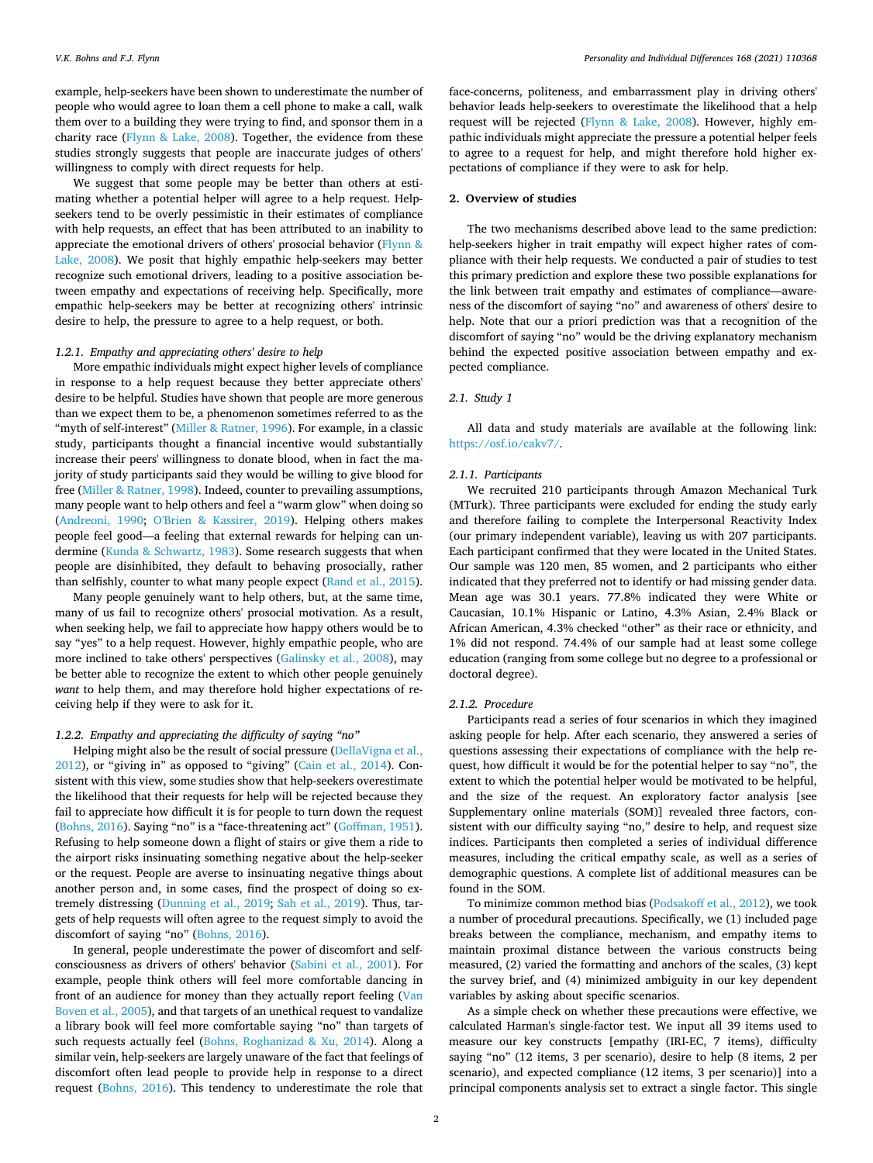example, help-seekers have been shown to underestimate the number of people who would agree to loan them a cell phone to make a call, walk them over to a building they were trying to find, and sponsor them in a charity race [\(Flynn & Lake, 2008](#page-8-11)). Together, the evidence from these studies strongly suggests that people are inaccurate judges of others' willingness to comply with direct requests for help.

We suggest that some people may be better than others at estimating whether a potential helper will agree to a help request. Helpseekers tend to be overly pessimistic in their estimates of compliance with help requests, an effect that has been attributed to an inability to appreciate the emotional drivers of others' prosocial behavior ([Flynn &](#page-8-11)  [Lake, 2008\)](#page-8-11). We posit that highly empathic help-seekers may better recognize such emotional drivers, leading to a positive association between empathy and expectations of receiving help. Specifically, more empathic help-seekers may be better at recognizing others' intrinsic desire to help, the pressure to agree to a help request, or both.

# *1.2.1. Empathy and appreciating others' desire to help*

More empathic individuals might expect higher levels of compliance in response to a help request because they better appreciate others' desire to be helpful. Studies have shown that people are more generous than we expect them to be, a phenomenon sometimes referred to as the "myth of self-interest" [\(Miller & Ratner, 1996](#page-8-16)). For example, in a classic study, participants thought a financial incentive would substantially increase their peers' willingness to donate blood, when in fact the majority of study participants said they would be willing to give blood for free [\(Miller & Ratner, 1998](#page-8-17)). Indeed, counter to prevailing assumptions, many people want to help others and feel a "warm glow" when doing so ([Andreoni, 1990;](#page-8-18) [O'Brien & Kassirer, 2019](#page-8-19)). Helping others makes people feel good—a feeling that external rewards for helping can undermine [\(Kunda & Schwartz, 1983](#page-8-20)). Some research suggests that when people are disinhibited, they default to behaving prosocially, rather than selfishly, counter to what many people expect ([Rand et al., 2015](#page-8-21)).

Many people genuinely want to help others, but, at the same time, many of us fail to recognize others' prosocial motivation. As a result, when seeking help, we fail to appreciate how happy others would be to say "yes" to a help request. However, highly empathic people, who are more inclined to take others' perspectives ([Galinsky et al., 2008\)](#page-8-22), may be better able to recognize the extent to which other people genuinely *want* to help them, and may therefore hold higher expectations of receiving help if they were to ask for it.

# *1.2.2. Empathy and appreciating the difficulty of saying "no"*

Helping might also be the result of social pressure ([DellaVigna et al.,](#page-8-23)  [2012\)](#page-8-23), or "giving in" as opposed to "giving" ([Cain et al., 2014](#page-8-24)). Consistent with this view, some studies show that help-seekers overestimate the likelihood that their requests for help will be rejected because they fail to appreciate how difficult it is for people to turn down the request ([Bohns, 2016](#page-8-25)). Saying "no" is a "face-threatening act" ([Goffman, 1951](#page-8-26)). Refusing to help someone down a flight of stairs or give them a ride to the airport risks insinuating something negative about the help-seeker or the request. People are averse to insinuating negative things about another person and, in some cases, find the prospect of doing so extremely distressing [\(Dunning et al., 2019;](#page-8-27) [Sah et al., 2019](#page-8-28)). Thus, targets of help requests will often agree to the request simply to avoid the discomfort of saying "no" [\(Bohns, 2016\)](#page-8-25).

In general, people underestimate the power of discomfort and selfconsciousness as drivers of others' behavior [\(Sabini et al., 2001](#page-8-29)). For example, people think others will feel more comfortable dancing in front of an audience for money than they actually report feeling ([Van](#page-8-30)  [Boven et al., 2005\)](#page-8-30), and that targets of an unethical request to vandalize a library book will feel more comfortable saying "no" than targets of such requests actually feel [\(Bohns, Roghanizad & Xu, 2014](#page-8-31)). Along a similar vein, help-seekers are largely unaware of the fact that feelings of discomfort often lead people to provide help in response to a direct request ([Bohns, 2016](#page-8-25)). This tendency to underestimate the role that

face-concerns, politeness, and embarrassment play in driving others' behavior leads help-seekers to overestimate the likelihood that a help request will be rejected [\(Flynn & Lake, 2008](#page-8-11)). However, highly empathic individuals might appreciate the pressure a potential helper feels to agree to a request for help, and might therefore hold higher expectations of compliance if they were to ask for help.

# **2. Overview of studies**

The two mechanisms described above lead to the same prediction: help-seekers higher in trait empathy will expect higher rates of compliance with their help requests. We conducted a pair of studies to test this primary prediction and explore these two possible explanations for the link between trait empathy and estimates of compliance—awareness of the discomfort of saying "no" and awareness of others' desire to help. Note that our a priori prediction was that a recognition of the discomfort of saying "no" would be the driving explanatory mechanism behind the expected positive association between empathy and expected compliance.

# *2.1. Study 1*

All data and study materials are available at the following link: [https://osf.io/cakv7/.](https://osf.io/cakv7/)

#### *2.1.1. Participants*

We recruited 210 participants through Amazon Mechanical Turk (MTurk). Three participants were excluded for ending the study early and therefore failing to complete the Interpersonal Reactivity Index (our primary independent variable), leaving us with 207 participants. Each participant confirmed that they were located in the United States. Our sample was 120 men, 85 women, and 2 participants who either indicated that they preferred not to identify or had missing gender data. Mean age was 30.1 years. 77.8% indicated they were White or Caucasian, 10.1% Hispanic or Latino, 4.3% Asian, 2.4% Black or African American, 4.3% checked "other" as their race or ethnicity, and 1% did not respond. 74.4% of our sample had at least some college education (ranging from some college but no degree to a professional or doctoral degree).

#### *2.1.2. Procedure*

Participants read a series of four scenarios in which they imagined asking people for help. After each scenario, they answered a series of questions assessing their expectations of compliance with the help request, how difficult it would be for the potential helper to say "no", the extent to which the potential helper would be motivated to be helpful, and the size of the request. An exploratory factor analysis [see Supplementary online materials (SOM)] revealed three factors, consistent with our difficulty saying "no," desire to help, and request size indices. Participants then completed a series of individual difference measures, including the critical empathy scale, as well as a series of demographic questions. A complete list of additional measures can be found in the SOM.

To minimize common method bias [\(Podsakoff et al., 2012](#page-8-32)), we took a number of procedural precautions. Specifically, we (1) included page breaks between the compliance, mechanism, and empathy items to maintain proximal distance between the various constructs being measured, (2) varied the formatting and anchors of the scales, (3) kept the survey brief, and (4) minimized ambiguity in our key dependent variables by asking about specific scenarios.

As a simple check on whether these precautions were effective, we calculated Harman's single-factor test. We input all 39 items used to measure our key constructs [empathy (IRI-EC, 7 items), difficulty saying "no" (12 items, 3 per scenario), desire to help (8 items, 2 per scenario), and expected compliance (12 items, 3 per scenario)] into a principal components analysis set to extract a single factor. This single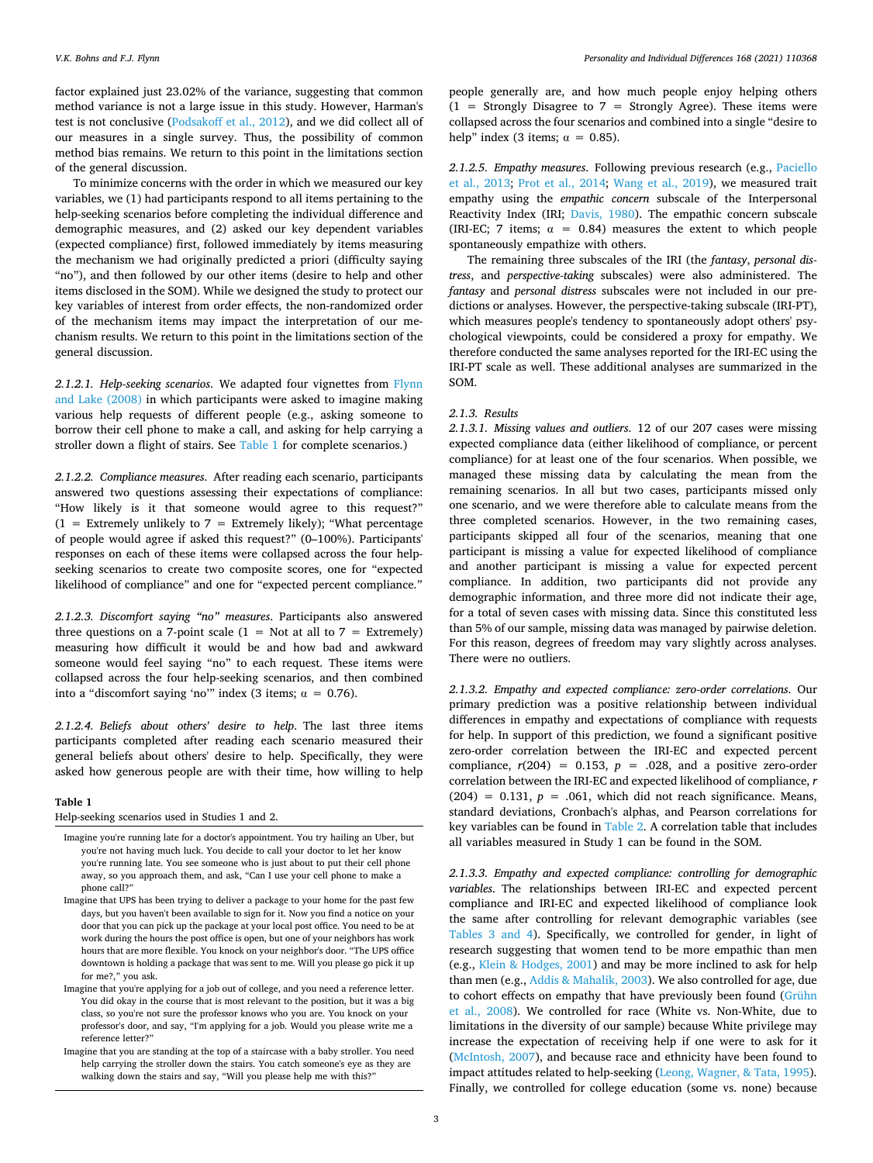factor explained just 23.02% of the variance, suggesting that common method variance is not a large issue in this study. However, Harman's test is not conclusive [\(Podsakoff et al., 2012\)](#page-8-32), and we did collect all of our measures in a single survey. Thus, the possibility of common method bias remains. We return to this point in the limitations section of the general discussion.

To minimize concerns with the order in which we measured our key variables, we (1) had participants respond to all items pertaining to the help-seeking scenarios before completing the individual difference and demographic measures, and (2) asked our key dependent variables (expected compliance) first, followed immediately by items measuring the mechanism we had originally predicted a priori (difficulty saying "no"), and then followed by our other items (desire to help and other items disclosed in the SOM). While we designed the study to protect our key variables of interest from order effects, the non-randomized order of the mechanism items may impact the interpretation of our mechanism results. We return to this point in the limitations section of the general discussion.

*2.1.2.1. Help-seeking scenarios*. We adapted four vignettes from [Flynn](#page-8-11)  [and Lake \(2008\)](#page-8-11) in which participants were asked to imagine making various help requests of different people (e.g., asking someone to borrow their cell phone to make a call, and asking for help carrying a stroller down a flight of stairs. See [Table 1](#page-2-0) for complete scenarios.)

*2.1.2.2. Compliance measures*. After reading each scenario, participants answered two questions assessing their expectations of compliance: "How likely is it that someone would agree to this request?"  $(1 =$  Extremely unlikely to  $7 =$  Extremely likely); "What percentage of people would agree if asked this request?" (0–100%). Participants' responses on each of these items were collapsed across the four helpseeking scenarios to create two composite scores, one for "expected likelihood of compliance" and one for "expected percent compliance."

*2.1.2.3. Discomfort saying "no" measures*. Participants also answered three questions on a 7-point scale  $(1 = Not at all to 7 = Extremely)$ measuring how difficult it would be and how bad and awkward someone would feel saying "no" to each request. These items were collapsed across the four help-seeking scenarios, and then combined into a "discomfort saying 'no'" index (3 items;  $\alpha = 0.76$ ).

*2.1.2.4. Beliefs about others' desire to help*. The last three items participants completed after reading each scenario measured their general beliefs about others' desire to help. Specifically, they were asked how generous people are with their time, how willing to help

#### <span id="page-2-0"></span>**Table 1**

Help-seeking scenarios used in Studies 1 and 2.

- Imagine you're running late for a doctor's appointment. You try hailing an Uber, but you're not having much luck. You decide to call your doctor to let her know you're running late. You see someone who is just about to put their cell phone away, so you approach them, and ask, "Can I use your cell phone to make a phone call?"
- Imagine that UPS has been trying to deliver a package to your home for the past few days, but you haven't been available to sign for it. Now you find a notice on your door that you can pick up the package at your local post office. You need to be at work during the hours the post office is open, but one of your neighbors has work hours that are more flexible. You knock on your neighbor's door. "The UPS office downtown is holding a package that was sent to me. Will you please go pick it up for me?," you ask.
- Imagine that you're applying for a job out of college, and you need a reference letter. You did okay in the course that is most relevant to the position, but it was a big class, so you're not sure the professor knows who you are. You knock on your professor's door, and say, "I'm applying for a job. Would you please write me a reference letter?"
- Imagine that you are standing at the top of a staircase with a baby stroller. You need help carrying the stroller down the stairs. You catch someone's eye as they are walking down the stairs and say, "Will you please help me with this?"

people generally are, and how much people enjoy helping others  $(1 =$  Strongly Disagree to  $7 =$  Strongly Agree). These items were collapsed across the four scenarios and combined into a single "desire to help" index (3 items;  $\alpha = 0.85$ ).

*2.1.2.5. Empathy measures*. Following previous research (e.g., [Paciello](#page-8-4)  [et al., 2013](#page-8-4); [Prot et al., 2014](#page-8-33); [Wang et al., 2019\)](#page-8-6), we measured trait empathy using the *empathic concern* subscale of the Interpersonal Reactivity Index (IRI; [Davis, 1980](#page-8-34)). The empathic concern subscale (IRI-EC: 7 items;  $\alpha = 0.84$ ) measures the extent to which people spontaneously empathize with others.

The remaining three subscales of the IRI (the *fantasy*, *personal distress*, and *perspective-taking* subscales) were also administered. The *fantasy* and *personal distress* subscales were not included in our predictions or analyses. However, the perspective-taking subscale (IRI-PT), which measures people's tendency to spontaneously adopt others' psychological viewpoints, could be considered a proxy for empathy. We therefore conducted the same analyses reported for the IRI-EC using the IRI-PT scale as well. These additional analyses are summarized in the SOM.

# *2.1.3. Results*

*2.1.3.1. Missing values and outliers*. 12 of our 207 cases were missing expected compliance data (either likelihood of compliance, or percent compliance) for at least one of the four scenarios. When possible, we managed these missing data by calculating the mean from the remaining scenarios. In all but two cases, participants missed only one scenario, and we were therefore able to calculate means from the three completed scenarios. However, in the two remaining cases, participants skipped all four of the scenarios, meaning that one participant is missing a value for expected likelihood of compliance and another participant is missing a value for expected percent compliance. In addition, two participants did not provide any demographic information, and three more did not indicate their age, for a total of seven cases with missing data. Since this constituted less than 5% of our sample, missing data was managed by pairwise deletion. For this reason, degrees of freedom may vary slightly across analyses. There were no outliers.

*2.1.3.2. Empathy and expected compliance: zero-order correlations*. Our primary prediction was a positive relationship between individual differences in empathy and expectations of compliance with requests for help. In support of this prediction, we found a significant positive zero-order correlation between the IRI-EC and expected percent compliance,  $r(204) = 0.153$ ,  $p = .028$ , and a positive zero-order correlation between the IRI-EC and expected likelihood of compliance, *r*   $(204) = 0.131$ ,  $p = .061$ , which did not reach significance. Means, standard deviations, Cronbach's alphas, and Pearson correlations for key variables can be found in [Table 2](#page-3-0). A correlation table that includes all variables measured in Study 1 can be found in the SOM.

*2.1.3.3. Empathy and expected compliance: controlling for demographic variables*. The relationships between IRI-EC and expected percent compliance and IRI-EC and expected likelihood of compliance look the same after controlling for relevant demographic variables (see [Tables 3 and 4\)](#page-3-1). Specifically, we controlled for gender, in light of research suggesting that women tend to be more empathic than men (e.g., [Klein & Hodges, 2001\)](#page-8-35) and may be more inclined to ask for help than men (e.g., [Addis & Mahalik, 2003\)](#page-8-36). We also controlled for age, due to cohort effects on empathy that have previously been found [\(Grühn](#page-8-37)  [et al., 2008](#page-8-37)). We controlled for race (White vs. Non-White, due to limitations in the diversity of our sample) because White privilege may increase the expectation of receiving help if one were to ask for it ([McIntosh, 2007](#page-8-38)), and because race and ethnicity have been found to impact attitudes related to help-seeking [\(Leong, Wagner, & Tata, 1995](#page-8-39)). Finally, we controlled for college education (some vs. none) because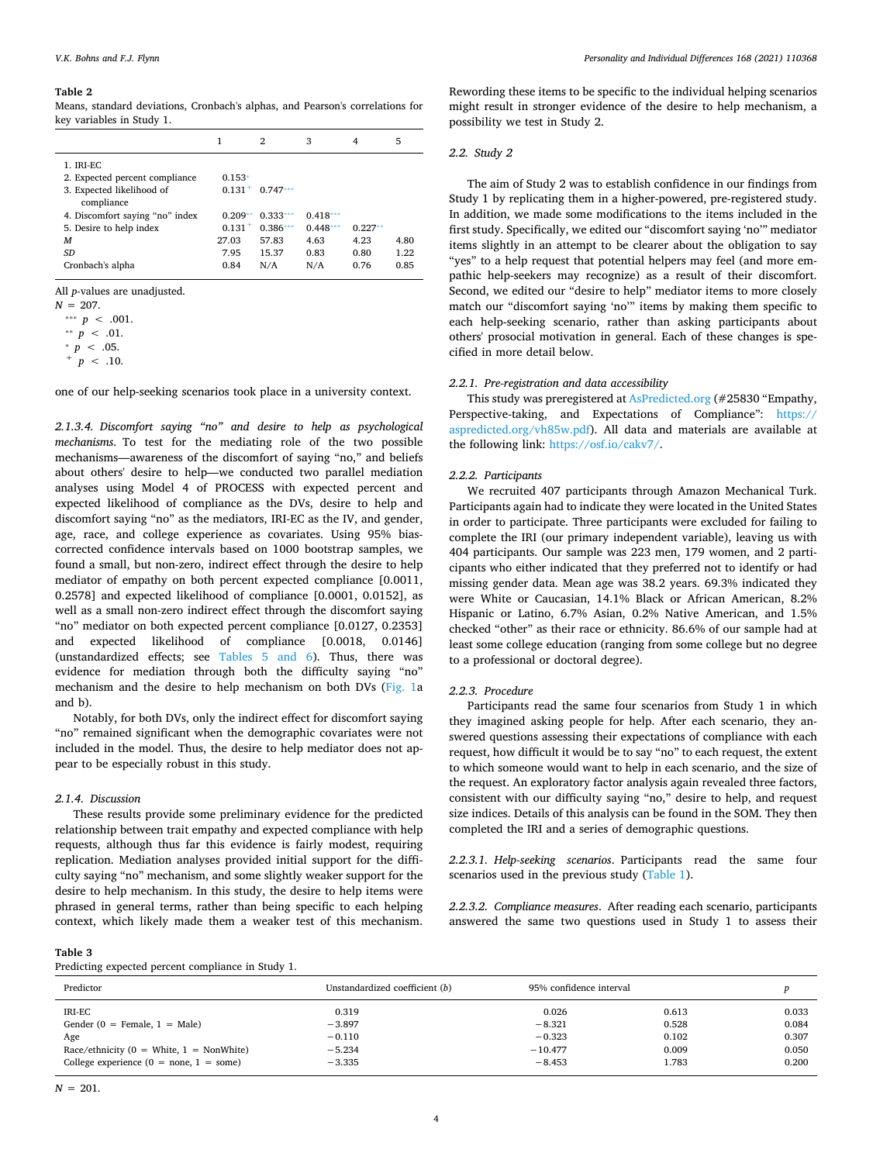<span id="page-3-0"></span>Means, standard deviations, Cronbach's alphas, and Pearson's correlations for key variables in Study 1.

|                                                                                                                                                      | 1                                  | 2                                              | 3                        | 4                    | 5                    |
|------------------------------------------------------------------------------------------------------------------------------------------------------|------------------------------------|------------------------------------------------|--------------------------|----------------------|----------------------|
| 1. IRI-EC<br>2. Expected percent compliance<br>3. Expected likelihood of<br>compliance<br>4. Discomfort saying "no" index<br>5. Desire to help index | $0.153*$<br>$0.209**$<br>$0.131 +$ | $0.131 + 0.747***$<br>$0.333***$<br>$0.386***$ | $0.418***$<br>$0.448***$ | $0.227**$            |                      |
| M<br>SD<br>Cronbach's alpha                                                                                                                          | 27.03<br>7.95<br>0.84              | 57.83<br>15.37<br>N/A                          | 4.63<br>0.83<br>N/A      | 4.23<br>0.80<br>0.76 | 4.80<br>1.22<br>0.85 |

All *p*-values are unadjusted.

 $N = 207$ .

<span id="page-3-4"></span>\*\*\*  $p \, < \, .001$ .

<span id="page-3-5"></span>\*\*  $p \, < \, .01$ .

<span id="page-3-2"></span> $p < .05.$ <br>+  $p < .10.$ 

<span id="page-3-3"></span>

one of our help-seeking scenarios took place in a university context.

*2.1.3.4. Discomfort saying "no" and desire to help as psychological mechanisms*. To test for the mediating role of the two possible mechanisms—awareness of the discomfort of saying "no," and beliefs about others' desire to help—we conducted two parallel mediation analyses using Model 4 of PROCESS with expected percent and expected likelihood of compliance as the DVs, desire to help and discomfort saying "no" as the mediators, IRI-EC as the IV, and gender, age, race, and college experience as covariates. Using 95% biascorrected confidence intervals based on 1000 bootstrap samples, we found a small, but non-zero, indirect effect through the desire to help mediator of empathy on both percent expected compliance [0.0011, 0.2578] and expected likelihood of compliance [0.0001, 0.0152], as well as a small non-zero indirect effect through the discomfort saying "no" mediator on both expected percent compliance [0.0127, 0.2353] and expected likelihood of compliance [0.0018, 0.0146] (unstandardized effects; see [Tables 5 and 6](#page-4-0)). Thus, there was evidence for mediation through both the difficulty saying "no" mechanism and the desire to help mechanism on both DVs [\(Fig. 1a](#page-5-0) and b).

Notably, for both DVs, only the indirect effect for discomfort saying "no" remained significant when the demographic covariates were not included in the model. Thus, the desire to help mediator does not appear to be especially robust in this study.

# *2.1.4. Discussion*

These results provide some preliminary evidence for the predicted relationship between trait empathy and expected compliance with help requests, although thus far this evidence is fairly modest, requiring replication. Mediation analyses provided initial support for the difficulty saying "no" mechanism, and some slightly weaker support for the desire to help mechanism. In this study, the desire to help items were phrased in general terms, rather than being specific to each helping context, which likely made them a weaker test of this mechanism.

<span id="page-3-1"></span>**Table 3** 

| Predicting expected percent compliance in Study 1. |  |
|----------------------------------------------------|--|
|----------------------------------------------------|--|

| Predictor                                                                                                                                         | Unstandardized coefficient (b)                        | 95% confidence interval                                |                                           |                                           |
|---------------------------------------------------------------------------------------------------------------------------------------------------|-------------------------------------------------------|--------------------------------------------------------|-------------------------------------------|-------------------------------------------|
| IRI-EC<br>Gender ( $0 =$ Female, $1 =$ Male)<br>Age<br>Race/ethnicity ( $0 =$ White, $1 =$ NonWhite)<br>College experience $(0 = none, 1 = some)$ | 0.319<br>$-3.897$<br>$-0.110$<br>$-5.234$<br>$-3.335$ | 0.026<br>$-8.321$<br>$-0.323$<br>$-10.477$<br>$-8.453$ | 0.613<br>0.528<br>0.102<br>0.009<br>1.783 | 0.033<br>0.084<br>0.307<br>0.050<br>0.200 |
|                                                                                                                                                   |                                                       |                                                        |                                           |                                           |

 $N = 201$ .

Rewording these items to be specific to the individual helping scenarios might result in stronger evidence of the desire to help mechanism, a possibility we test in Study 2.

#### *2.2. Study 2*

The aim of Study 2 was to establish confidence in our findings from Study 1 by replicating them in a higher-powered, pre-registered study. In addition, we made some modifications to the items included in the first study. Specifically, we edited our "discomfort saying 'no'" mediator items slightly in an attempt to be clearer about the obligation to say "yes" to a help request that potential helpers may feel (and more empathic help-seekers may recognize) as a result of their discomfort. Second, we edited our "desire to help" mediator items to more closely match our "discomfort saying 'no'" items by making them specific to each help-seeking scenario, rather than asking participants about others' prosocial motivation in general. Each of these changes is specified in more detail below.

### *2.2.1. Pre-registration and data accessibility*

This study was preregistered at [AsPredicted.org](http://AsPredicted.org) (#25830 "Empathy, Perspective-taking, and Expectations of Compliance": [https://](https://aspredicted.org/vh85w.pdf)  [aspredicted.org/vh85w.pdf\)](https://aspredicted.org/vh85w.pdf). All data and materials are available at the following link: <https://osf.io/cakv7/>.

### *2.2.2. Participants*

We recruited 407 participants through Amazon Mechanical Turk. Participants again had to indicate they were located in the United States in order to participate. Three participants were excluded for failing to complete the IRI (our primary independent variable), leaving us with 404 participants. Our sample was 223 men, 179 women, and 2 participants who either indicated that they preferred not to identify or had missing gender data. Mean age was 38.2 years. 69.3% indicated they were White or Caucasian, 14.1% Black or African American, 8.2% Hispanic or Latino, 6.7% Asian, 0.2% Native American, and 1.5% checked "other" as their race or ethnicity. 86.6% of our sample had at least some college education (ranging from some college but no degree to a professional or doctoral degree).

# *2.2.3. Procedure*

Participants read the same four scenarios from Study 1 in which they imagined asking people for help. After each scenario, they answered questions assessing their expectations of compliance with each request, how difficult it would be to say "no" to each request, the extent to which someone would want to help in each scenario, and the size of the request. An exploratory factor analysis again revealed three factors, consistent with our difficulty saying "no," desire to help, and request size indices. Details of this analysis can be found in the SOM. They then completed the IRI and a series of demographic questions.

*2.2.3.1. Help-seeking scenarios*. Participants read the same four scenarios used in the previous study [\(Table 1](#page-2-0)).

*2.2.3.2. Compliance measures*. After reading each scenario, participants answered the same two questions used in Study 1 to assess their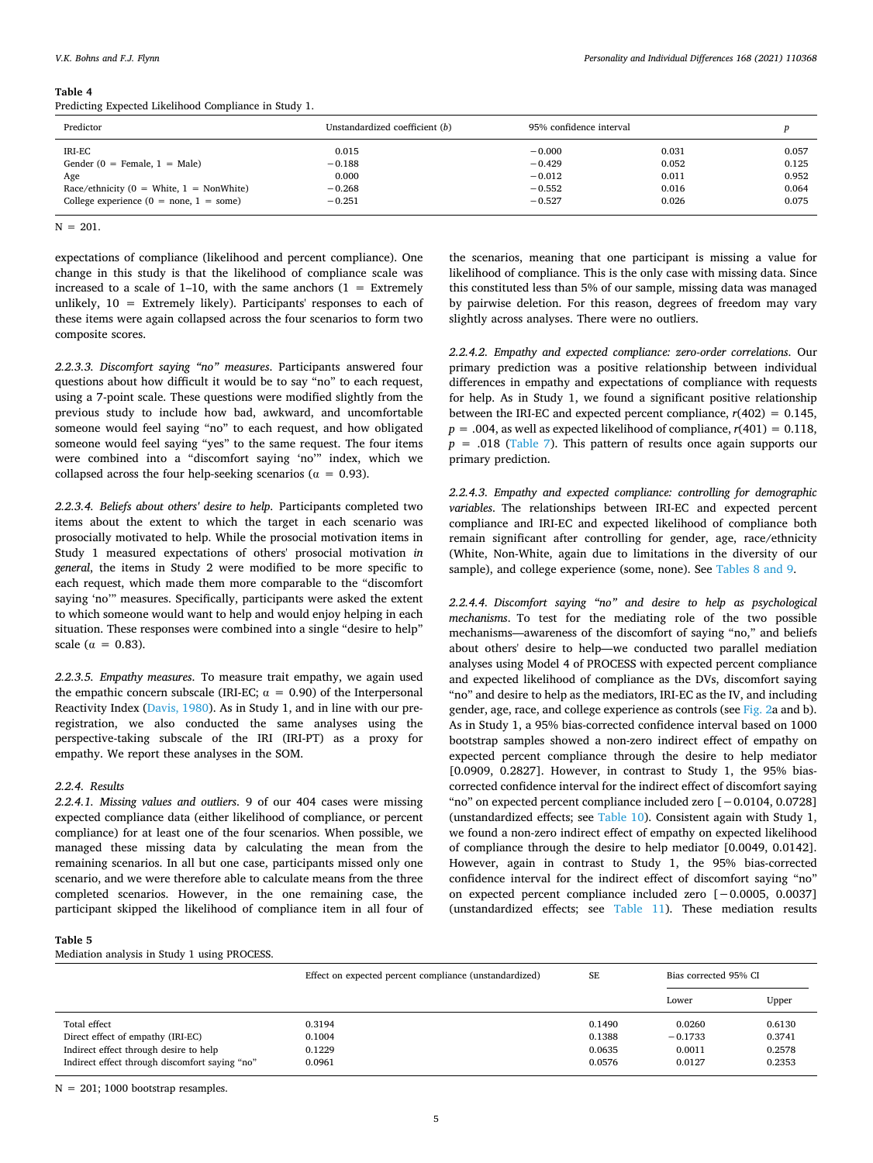Predicting Expected Likelihood Compliance in Study 1.

| Predictor                                     | Unstandardized coefficient (b) | 95% confidence interval |       |       |
|-----------------------------------------------|--------------------------------|-------------------------|-------|-------|
| IRI-EC                                        | 0.015                          | $-0.000$                | 0.031 | 0.057 |
| Gender ( $0 =$ Female, $1 =$ Male)            | $-0.188$                       | $-0.429$                | 0.052 | 0.125 |
| Age                                           | 0.000                          | $-0.012$                | 0.011 | 0.952 |
| Race/ethnicity ( $0 =$ White, $1 =$ NonWhite) | $-0.268$                       | $-0.552$                | 0.016 | 0.064 |
| College experience $(0 = none, 1 = some)$     | $-0.251$                       | $-0.527$                | 0.026 | 0.075 |

 $N = 201$ .

expectations of compliance (likelihood and percent compliance). One change in this study is that the likelihood of compliance scale was increased to a scale of 1–10, with the same anchors  $(1 =$  Extremely unlikely,  $10 =$  Extremely likely). Participants' responses to each of these items were again collapsed across the four scenarios to form two composite scores.

*2.2.3.3. Discomfort saying "no" measures*. Participants answered four questions about how difficult it would be to say "no" to each request, using a 7-point scale. These questions were modified slightly from the previous study to include how bad, awkward, and uncomfortable someone would feel saying "no" to each request, and how obligated someone would feel saying "yes" to the same request. The four items were combined into a "discomfort saying 'no'" index, which we collapsed across the four help-seeking scenarios ( $\alpha = 0.93$ ).

*2.2.3.4. Beliefs about others' desire to help*. Participants completed two items about the extent to which the target in each scenario was prosocially motivated to help. While the prosocial motivation items in Study 1 measured expectations of others' prosocial motivation *in general*, the items in Study 2 were modified to be more specific to each request, which made them more comparable to the "discomfort saying 'no'" measures. Specifically, participants were asked the extent to which someone would want to help and would enjoy helping in each situation. These responses were combined into a single "desire to help" scale ( $\alpha = 0.83$ ).

*2.2.3.5. Empathy measures*. To measure trait empathy, we again used the empathic concern subscale (IRI-EC;  $\alpha = 0.90$ ) of the Interpersonal Reactivity Index [\(Davis, 1980](#page-8-34)). As in Study 1, and in line with our preregistration, we also conducted the same analyses using the perspective-taking subscale of the IRI (IRI-PT) as a proxy for empathy. We report these analyses in the SOM.

# *2.2.4. Results*

*2.2.4.1. Missing values and outliers*. 9 of our 404 cases were missing expected compliance data (either likelihood of compliance, or percent compliance) for at least one of the four scenarios. When possible, we managed these missing data by calculating the mean from the remaining scenarios. In all but one case, participants missed only one scenario, and we were therefore able to calculate means from the three completed scenarios. However, in the one remaining case, the participant skipped the likelihood of compliance item in all four of the scenarios, meaning that one participant is missing a value for likelihood of compliance. This is the only case with missing data. Since this constituted less than 5% of our sample, missing data was managed by pairwise deletion. For this reason, degrees of freedom may vary slightly across analyses. There were no outliers.

*2.2.4.2. Empathy and expected compliance: zero-order correlations*. Our primary prediction was a positive relationship between individual differences in empathy and expectations of compliance with requests for help. As in Study 1, we found a significant positive relationship between the IRI-EC and expected percent compliance,  $r(402) = 0.145$ ,  $p = .004$ , as well as expected likelihood of compliance,  $r(401) = 0.118$ ,  $p = .018$  [\(Table 7\)](#page-5-1). This pattern of results once again supports our primary prediction.

*2.2.4.3. Empathy and expected compliance: controlling for demographic variables*. The relationships between IRI-EC and expected percent compliance and IRI-EC and expected likelihood of compliance both remain significant after controlling for gender, age, race/ethnicity (White, Non-White, again due to limitations in the diversity of our sample), and college experience (some, none). See [Tables 8 and 9.](#page-6-0)

*2.2.4.4. Discomfort saying "no" and desire to help as psychological mechanisms*. To test for the mediating role of the two possible mechanisms—awareness of the discomfort of saying "no," and beliefs about others' desire to help—we conducted two parallel mediation analyses using Model 4 of PROCESS with expected percent compliance and expected likelihood of compliance as the DVs, discomfort saying "no" and desire to help as the mediators, IRI-EC as the IV, and including gender, age, race, and college experience as controls (see [Fig. 2a](#page-6-1) and b). As in Study 1, a 95% bias-corrected confidence interval based on 1000 bootstrap samples showed a non-zero indirect effect of empathy on expected percent compliance through the desire to help mediator [0.0909, 0.2827]. However, in contrast to Study 1, the 95% biascorrected confidence interval for the indirect effect of discomfort saying "no" on expected percent compliance included zero [−0.0104, 0.0728] (unstandardized effects; see [Table 10\)](#page-6-2). Consistent again with Study 1, we found a non-zero indirect effect of empathy on expected likelihood of compliance through the desire to help mediator [0.0049, 0.0142]. However, again in contrast to Study 1, the 95% bias-corrected confidence interval for the indirect effect of discomfort saying "no" on expected percent compliance included zero [−0.0005, 0.0037] (unstandardized effects; see [Table 11](#page-7-0)). These mediation results

#### <span id="page-4-0"></span>**Table 5**

Mediation analysis in Study 1 using PROCESS.

|                                                | Effect on expected percent compliance (unstandardized) | <b>SE</b> | Bias corrected 95% CI |        |
|------------------------------------------------|--------------------------------------------------------|-----------|-----------------------|--------|
|                                                |                                                        |           | Lower                 | Upper  |
| Total effect                                   | 0.3194                                                 | 0.1490    | 0.0260                | 0.6130 |
| Direct effect of empathy (IRI-EC)              | 0.1004                                                 | 0.1388    | $-0.1733$             | 0.3741 |
| Indirect effect through desire to help         | 0.1229                                                 | 0.0635    | 0.0011                | 0.2578 |
| Indirect effect through discomfort saying "no" | 0.0961                                                 | 0.0576    | 0.0127                | 0.2353 |

 $N = 201$ ; 1000 bootstrap resamples.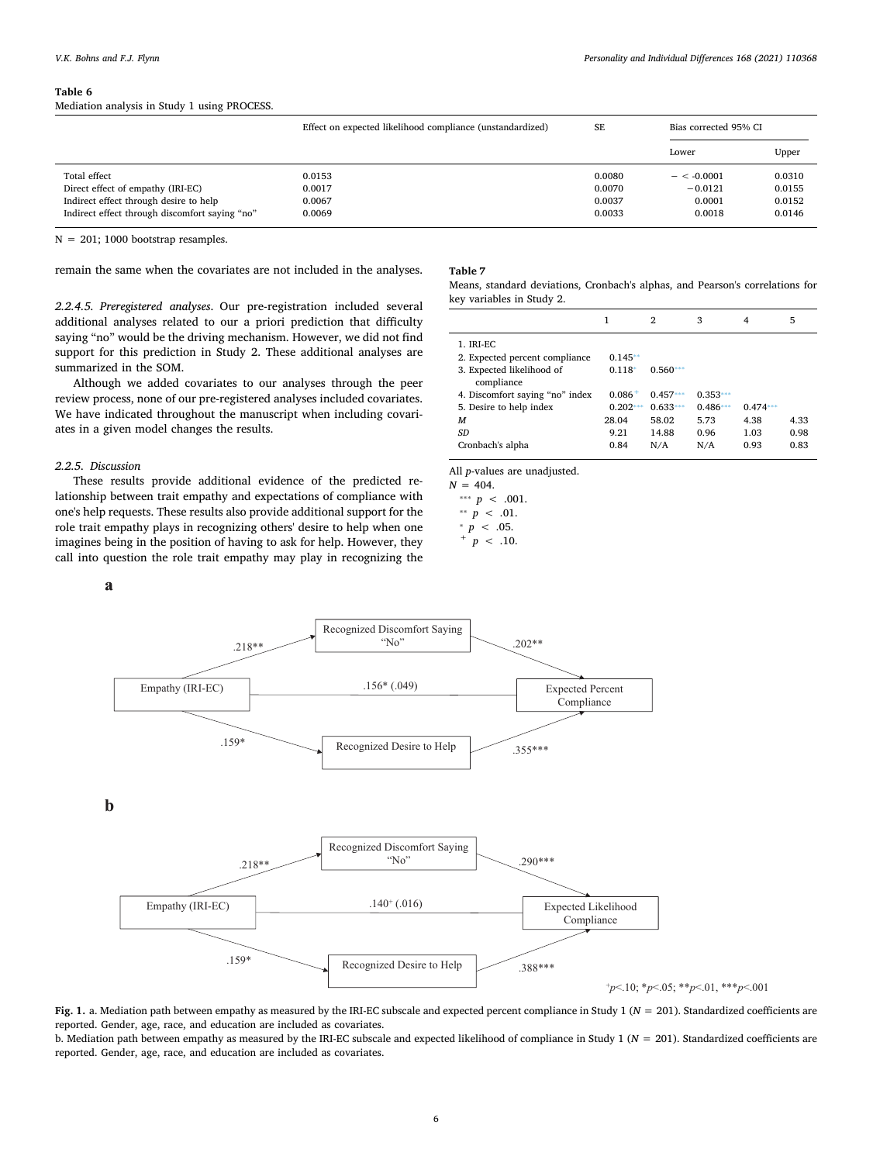Mediation analysis in Study 1 using PROCESS.

|                                                | Effect on expected likelihood compliance (unstandardized) | <b>SE</b> | Bias corrected 95% CI |        |
|------------------------------------------------|-----------------------------------------------------------|-----------|-----------------------|--------|
|                                                |                                                           |           | Lower                 | Upper  |
| Total effect                                   | 0.0153                                                    | 0.0080    | $- < 0.0001$          | 0.0310 |
| Direct effect of empathy (IRI-EC)              | 0.0017                                                    | 0.0070    | $-0.0121$             | 0.0155 |
| Indirect effect through desire to help         | 0.0067                                                    | 0.0037    | 0.0001                | 0.0152 |
| Indirect effect through discomfort saying "no" | 0.0069                                                    | 0.0033    | 0.0018                | 0.0146 |

 $N = 201$ ; 1000 bootstrap resamples.

remain the same when the covariates are not included in the analyses.

*2.2.4.5. Preregistered analyses*. Our pre-registration included several additional analyses related to our a priori prediction that difficulty saying "no" would be the driving mechanism. However, we did not find support for this prediction in Study 2. These additional analyses are summarized in the SOM.

Although we added covariates to our analyses through the peer review process, none of our pre-registered analyses included covariates. We have indicated throughout the manuscript when including covariates in a given model changes the results.

# *2.2.5. Discussion*

a

These results provide additional evidence of the predicted relationship between trait empathy and expectations of compliance with one's help requests. These results also provide additional support for the role trait empathy plays in recognizing others' desire to help when one imagines being in the position of having to ask for help. However, they call into question the role trait empathy may play in recognizing the

#### <span id="page-5-1"></span>**Table 7**

Means, standard deviations, Cronbach's alphas, and Pearson's correlations for key variables in Study 2.

|                                         | 1          | 2          | 3          | 4          | 5    |
|-----------------------------------------|------------|------------|------------|------------|------|
| 1. IRI-EC                               |            |            |            |            |      |
| 2. Expected percent compliance          | $0.145**$  |            |            |            |      |
| 3. Expected likelihood of<br>compliance | $0.118*$   | $0.560***$ |            |            |      |
| 4. Discomfort saying "no" index         | $0.086+$   | $0.457***$ | $0.353***$ |            |      |
| 5. Desire to help index                 | $0.202***$ | $0.633***$ | $0.486***$ | $0.474***$ |      |
| M                                       | 28.04      | 58.02      | 5.73       | 4.38       | 4.33 |
| SD                                      | 9.21       | 14.88      | 0.96       | 1.03       | 0.98 |
| Cronbach's alpha                        | 0.84       | N/A        | N/A        | 0.93       | 0.83 |

All *p*-values are unadjusted.

<span id="page-5-4"></span> $N = 404$ . ⁎⁎⁎ *p* < .001.

<span id="page-5-5"></span><span id="page-5-3"></span><span id="page-5-2"></span>\*\*  $p$  < .01.<br>\*  $p$  < .05.  $p > 0.10$ .

<span id="page-5-0"></span>

**Fig. 1.** a. Mediation path between empathy as measured by the IRI-EC subscale and expected percent compliance in Study 1 (*N* = 201). Standardized coefficients are reported. Gender, age, race, and education are included as covariates.

b. Mediation path between empathy as measured by the IRI-EC subscale and expected likelihood of compliance in Study 1 (*N* = 201). Standardized coefficients are reported. Gender, age, race, and education are included as covariates.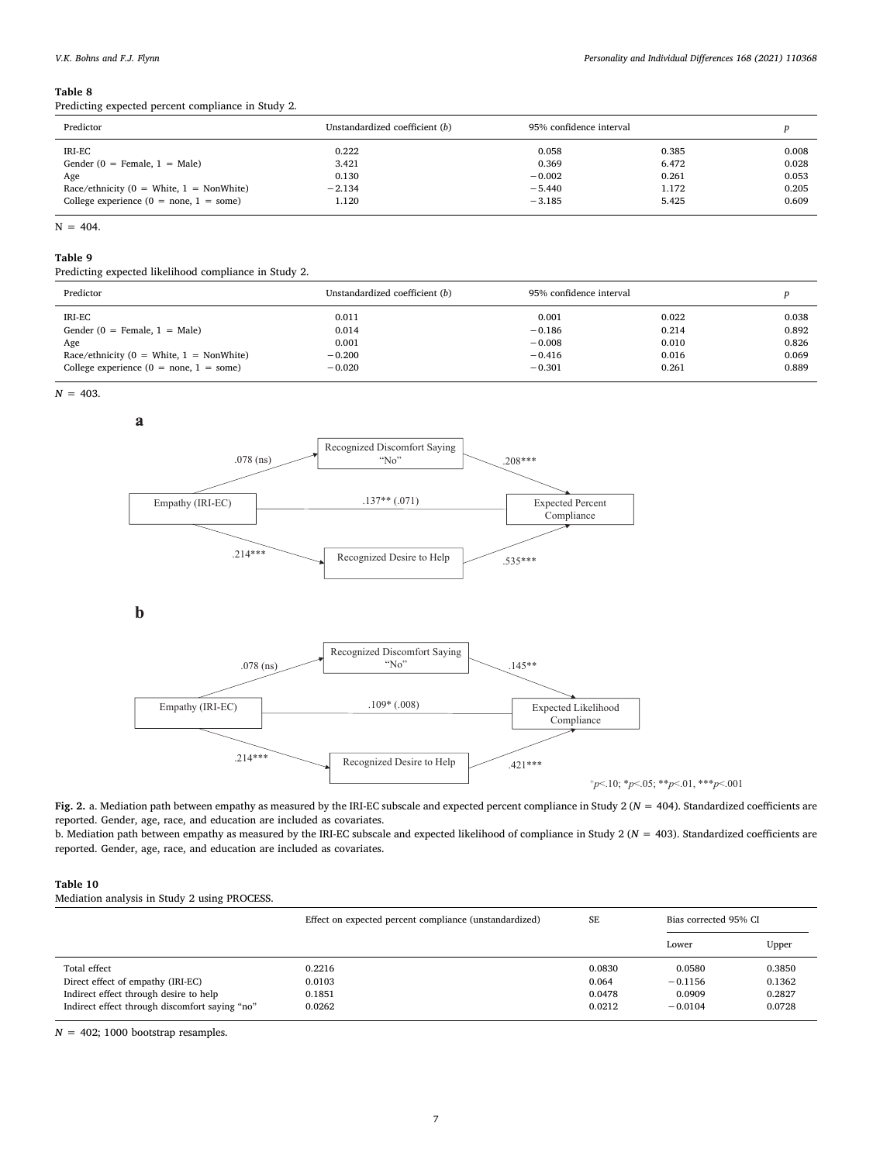<span id="page-6-0"></span>Predicting expected percent compliance in Study 2.

| Predictor                                     | Unstandardized coefficient (b) | 95% confidence interval |       | D     |
|-----------------------------------------------|--------------------------------|-------------------------|-------|-------|
| IRI-EC                                        | 0.222                          | 0.058                   | 0.385 | 0.008 |
| Gender ( $0 =$ Female, $1 =$ Male)            | 3.421                          | 0.369                   | 6.472 | 0.028 |
| Age                                           | 0.130                          | $-0.002$                | 0.261 | 0.053 |
| Race/ethnicity ( $0 =$ White, $1 =$ NonWhite) | $-2.134$                       | $-5.440$                | 1.172 | 0.205 |
| College experience $(0 = none, 1 = some)$     | 1.120                          | $-3.185$                | 5.425 | 0.609 |

 $N = 404$ .

#### **Table 9**

# Predicting expected likelihood compliance in Study 2.

| Predictor                                     | Unstandardized coefficient (b) | 95% confidence interval |       |       |
|-----------------------------------------------|--------------------------------|-------------------------|-------|-------|
| IRI-EC                                        | 0.011                          | 0.001                   | 0.022 | 0.038 |
| Gender ( $0 =$ Female, $1 =$ Male)            | 0.014                          | $-0.186$                | 0.214 | 0.892 |
| Age                                           | 0.001                          | $-0.008$                | 0.010 | 0.826 |
| Race/ethnicity ( $0 =$ White, $1 =$ NonWhite) | $-0.200$                       | $-0.416$                | 0.016 | 0.069 |
| College experience $(0 = none, 1 = some)$     | $-0.020$                       | $-0.301$                | 0.261 | 0.889 |

<span id="page-6-1"></span>*N* = 403.

a



**b**



**Fig. 2.** a. Mediation path between empathy as measured by the IRI-EC subscale and expected percent compliance in Study 2 (*N* = 404). Standardized coefficients are reported. Gender, age, race, and education are included as covariates.

b. Mediation path between empathy as measured by the IRI-EC subscale and expected likelihood of compliance in Study 2 (*N* = 403). Standardized coefficients are reported. Gender, age, race, and education are included as covariates.

# <span id="page-6-2"></span>**Table 10**

Mediation analysis in Study 2 using PROCESS.

|                                                                                                                                               | Effect on expected percent compliance (unstandardized) | <b>SE</b>                           | Bias corrected 95% CI                      |                                      |
|-----------------------------------------------------------------------------------------------------------------------------------------------|--------------------------------------------------------|-------------------------------------|--------------------------------------------|--------------------------------------|
|                                                                                                                                               |                                                        |                                     | Lower                                      | Upper                                |
| Total effect<br>Direct effect of empathy (IRI-EC)<br>Indirect effect through desire to help<br>Indirect effect through discomfort saying "no" | 0.2216<br>0.0103<br>0.1851<br>0.0262                   | 0.0830<br>0.064<br>0.0478<br>0.0212 | 0.0580<br>$-0.1156$<br>0.0909<br>$-0.0104$ | 0.3850<br>0.1362<br>0.2827<br>0.0728 |

 $N = 402$ ; 1000 bootstrap resamples.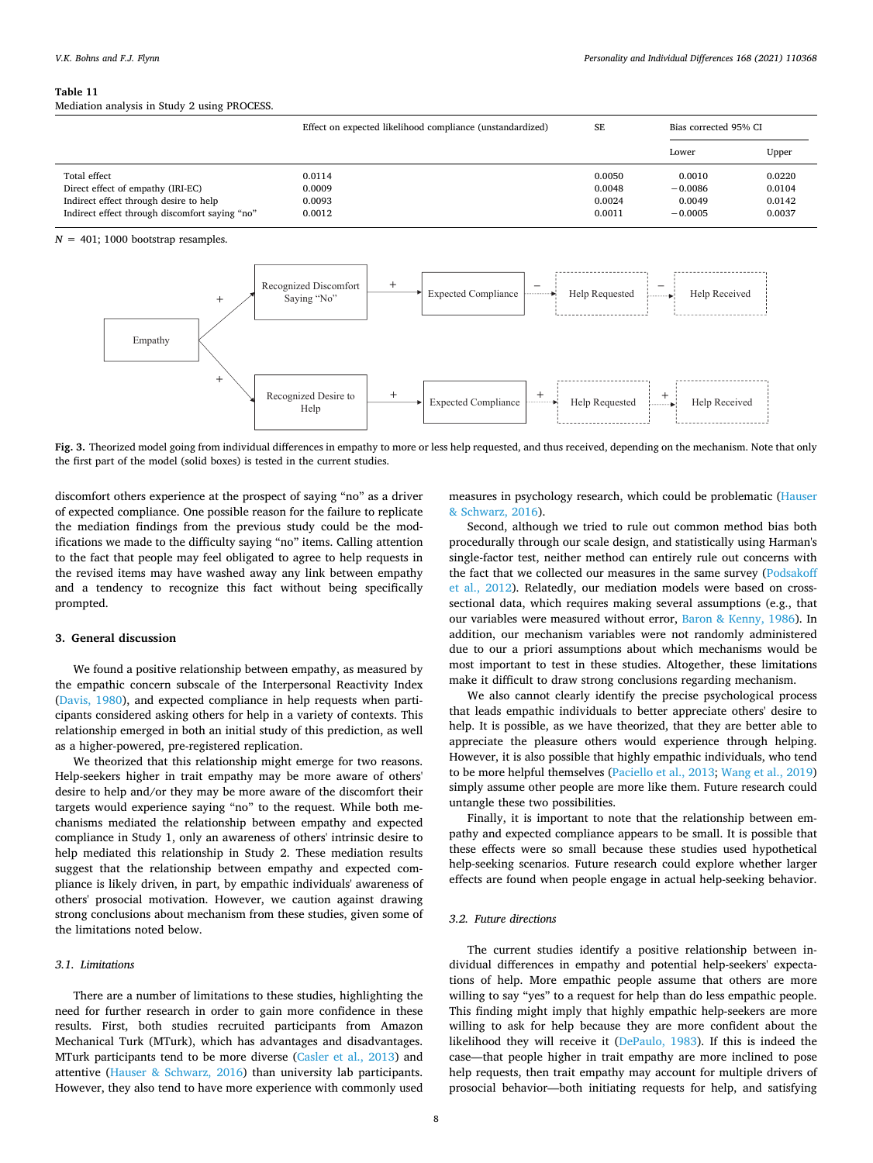<span id="page-7-0"></span>Mediation analysis in Study 2 using PROCESS.

|                                                                                                                                               | Effect on expected likelihood compliance (unstandardized) | <b>SE</b>                            | Bias corrected 95% CI                      |                                      |
|-----------------------------------------------------------------------------------------------------------------------------------------------|-----------------------------------------------------------|--------------------------------------|--------------------------------------------|--------------------------------------|
|                                                                                                                                               |                                                           |                                      | Lower                                      | Upper                                |
| Total effect<br>Direct effect of empathy (IRI-EC)<br>Indirect effect through desire to help<br>Indirect effect through discomfort saying "no" | 0.0114<br>0.0009<br>0.0093<br>0.0012                      | 0.0050<br>0.0048<br>0.0024<br>0.0011 | 0.0010<br>$-0.0086$<br>0.0049<br>$-0.0005$ | 0.0220<br>0.0104<br>0.0142<br>0.0037 |

#### <span id="page-7-1"></span> $N = 401$ ; 1000 bootstrap resamples.



**Fig. 3.** Theorized model going from individual differences in empathy to more or less help requested, and thus received, depending on the mechanism. Note that only the first part of the model (solid boxes) is tested in the current studies.

discomfort others experience at the prospect of saying "no" as a driver of expected compliance. One possible reason for the failure to replicate the mediation findings from the previous study could be the modifications we made to the difficulty saying "no" items. Calling attention to the fact that people may feel obligated to agree to help requests in the revised items may have washed away any link between empathy and a tendency to recognize this fact without being specifically prompted.

#### **3. General discussion**

We found a positive relationship between empathy, as measured by the empathic concern subscale of the Interpersonal Reactivity Index ([Davis, 1980](#page-8-34)), and expected compliance in help requests when participants considered asking others for help in a variety of contexts. This relationship emerged in both an initial study of this prediction, as well as a higher-powered, pre-registered replication.

We theorized that this relationship might emerge for two reasons. Help-seekers higher in trait empathy may be more aware of others' desire to help and/or they may be more aware of the discomfort their targets would experience saying "no" to the request. While both mechanisms mediated the relationship between empathy and expected compliance in Study 1, only an awareness of others' intrinsic desire to help mediated this relationship in Study 2. These mediation results suggest that the relationship between empathy and expected compliance is likely driven, in part, by empathic individuals' awareness of others' prosocial motivation. However, we caution against drawing strong conclusions about mechanism from these studies, given some of the limitations noted below.

# *3.1. Limitations*

There are a number of limitations to these studies, highlighting the need for further research in order to gain more confidence in these results. First, both studies recruited participants from Amazon Mechanical Turk (MTurk), which has advantages and disadvantages. MTurk participants tend to be more diverse ([Casler et al., 2013](#page-8-40)) and attentive [\(Hauser & Schwarz, 2016\)](#page-8-41) than university lab participants. However, they also tend to have more experience with commonly used measures in psychology research, which could be problematic ([Hauser](#page-8-41)  [& Schwarz, 2016](#page-8-41)).

Second, although we tried to rule out common method bias both procedurally through our scale design, and statistically using Harman's single-factor test, neither method can entirely rule out concerns with the fact that we collected our measures in the same survey [\(Podsakoff](#page-8-32)  [et al., 2012](#page-8-32)). Relatedly, our mediation models were based on crosssectional data, which requires making several assumptions (e.g., that our variables were measured without error, [Baron & Kenny, 1986](#page-8-42)). In addition, our mechanism variables were not randomly administered due to our a priori assumptions about which mechanisms would be most important to test in these studies. Altogether, these limitations make it difficult to draw strong conclusions regarding mechanism.

We also cannot clearly identify the precise psychological process that leads empathic individuals to better appreciate others' desire to help. It is possible, as we have theorized, that they are better able to appreciate the pleasure others would experience through helping. However, it is also possible that highly empathic individuals, who tend to be more helpful themselves ([Paciello et al., 2013;](#page-8-4) [Wang et al., 2019\)](#page-8-6) simply assume other people are more like them. Future research could untangle these two possibilities.

Finally, it is important to note that the relationship between empathy and expected compliance appears to be small. It is possible that these effects were so small because these studies used hypothetical help-seeking scenarios. Future research could explore whether larger effects are found when people engage in actual help-seeking behavior.

# *3.2. Future directions*

The current studies identify a positive relationship between individual differences in empathy and potential help-seekers' expectations of help. More empathic people assume that others are more willing to say "yes" to a request for help than do less empathic people. This finding might imply that highly empathic help-seekers are more willing to ask for help because they are more confident about the likelihood they will receive it [\(DePaulo, 1983\)](#page-8-10). If this is indeed the case—that people higher in trait empathy are more inclined to pose help requests, then trait empathy may account for multiple drivers of prosocial behavior—both initiating requests for help, and satisfying